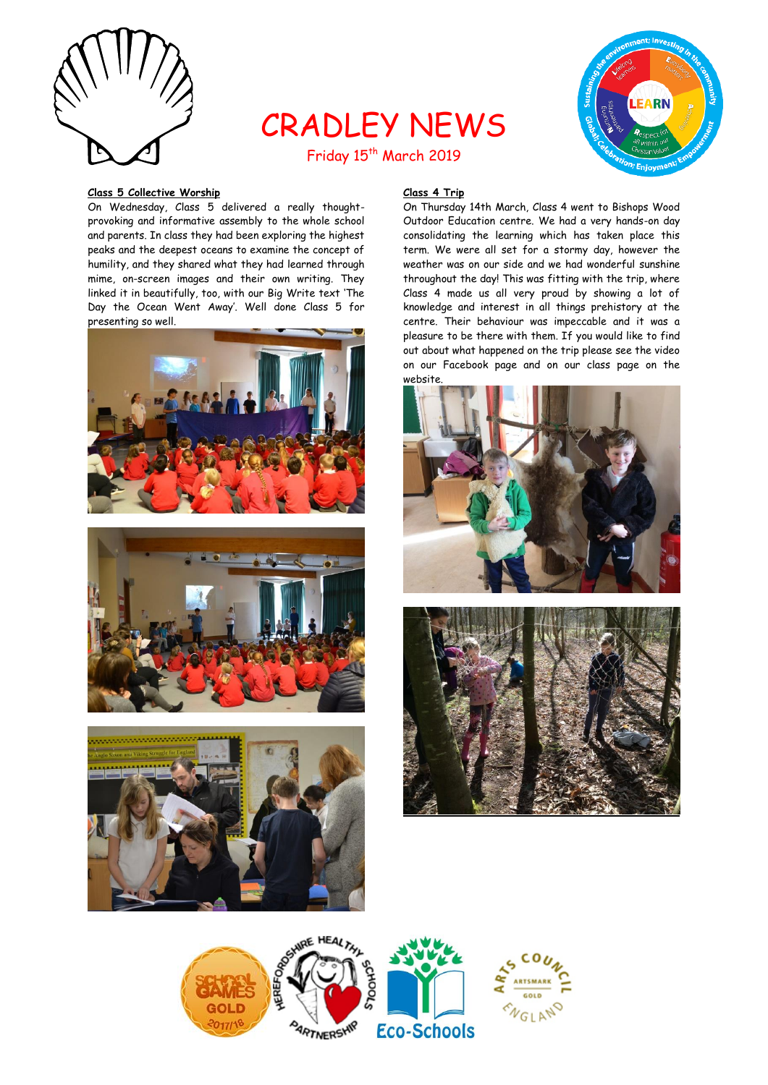

# CRADLEY NEWS Friday 15<sup>th</sup> March 2019



#### **Class 5 Collective Worship**

On Wednesday, Class 5 delivered a really thoughtprovoking and informative assembly to the whole school and parents. In class they had been exploring the highest peaks and the deepest oceans to examine the concept of humility, and they shared what they had learned through mime, on-screen images and their own writing. They linked it in beautifully, too, with our Big Write text 'The Day the Ocean Went Away'. Well done Class 5 for presenting so well.







# **Class 4 Trip**

On Thursday 14th March, Class 4 went to Bishops Wood Outdoor Education centre. We had a very hands-on day consolidating the learning which has taken place this term. We were all set for a stormy day, however the weather was on our side and we had wonderful sunshine throughout the day! This was fitting with the trip, where Class 4 made us all very proud by showing a lot of knowledge and interest in all things prehistory at the centre. Their behaviour was impeccable and it was a pleasure to be there with them. If you would like to find out about what happened on the trip please see the video on our Facebook page and on our class page on the website.





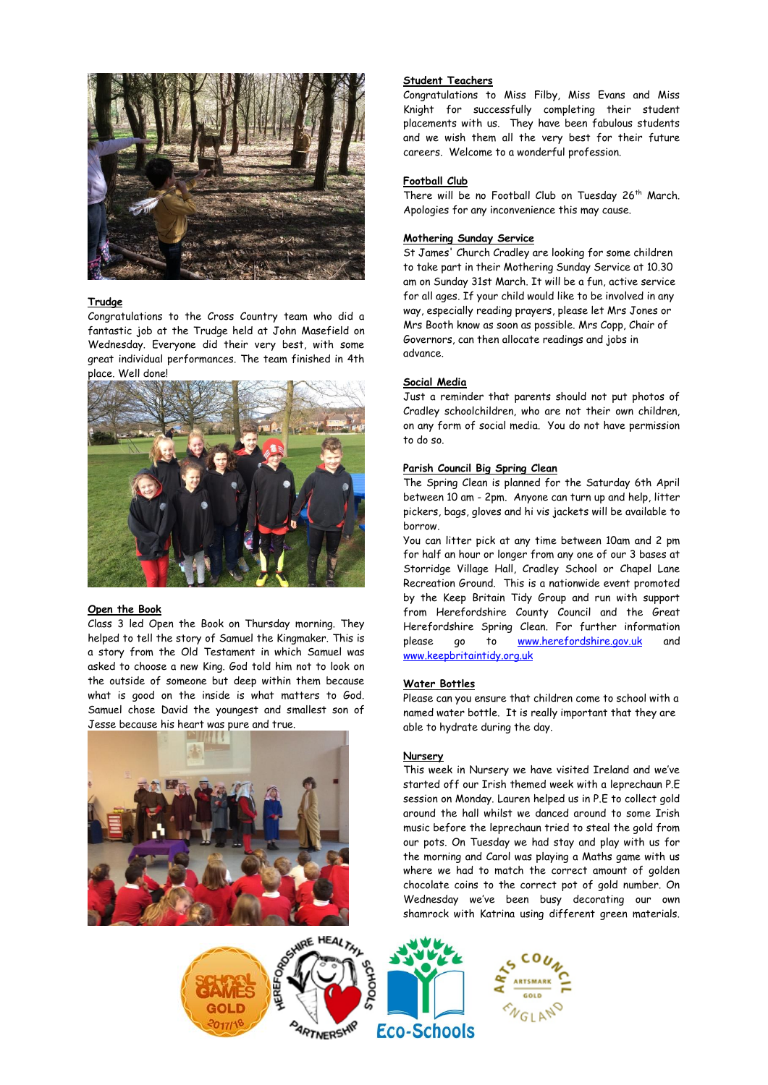

#### **Trudge**

Congratulations to the Cross Country team who did a fantastic job at the Trudge held at John Masefield on Wednesday. Everyone did their very best, with some great individual performances. The team finished in 4th place. Well done!



#### **Open the Book**

Class 3 led Open the Book on Thursday morning. They helped to tell the story of Samuel the Kingmaker. This is a story from the Old Testament in which Samuel was asked to choose a new King. God told him not to look on the outside of someone but deep within them because what is good on the inside is what matters to God. Samuel chose David the youngest and smallest son of Jesse because his heart was pure and true.



# to take part in their Mothering Sunday Service at 10.30 am on Sunday 31st March. It will be a fun, active service

for all ages. If your child would like to be involved in any way, especially reading prayers, please let Mrs Jones or Mrs Booth know as soon as possible. Mrs Copp, Chair of Governors, can then allocate readings and jobs in advance.

**Mothering Sunday Service**

#### **Social Media**

**Student Teachers**

**Football Club**

Just a reminder that parents should not put photos of Cradley schoolchildren, who are not their own children, on any form of social media. You do not have permission to do so.

Congratulations to Miss Filby, Miss Evans and Miss Knight for successfully completing their student placements with us. They have been fabulous students and we wish them all the very best for their future

There will be no Football Club on Tuesday 26<sup>th</sup> March.

St James' Church Cradley are looking for some children

careers. Welcome to a wonderful profession.

Apologies for any inconvenience this may cause.

#### **Parish Council Big Spring Clean**

The Spring Clean is planned for the Saturday 6th April between 10 am - 2pm. Anyone can turn up and help, litter pickers, bags, gloves and hi vis jackets will be available to borrow.

You can litter pick at any time between 10am and 2 pm for half an hour or longer from any one of our 3 bases at Storridge Village Hall, Cradley School or Chapel Lane Recreation Ground. This is a nationwide event promoted by the Keep Britain Tidy Group and run with support from Herefordshire County Council and the Great Herefordshire Spring Clean. For further information please go to [www.herefordshire.gov.uk](http://www.herefordshire.gov.uk/) and [www.keepbritaintidy.org.uk](http://www.keepbritaintidy.org.uk/)

# **Water Bottles**

Please can you ensure that children come to school with a named water bottle. It is really important that they are able to hydrate during the day.

# **Nursery**

This week in Nursery we have visited Ireland and we've started off our Irish themed week with a leprechaun P.E session on Monday. Lauren helped us in P.E to collect gold around the hall whilst we danced around to some Irish music before the leprechaun tried to steal the gold from our pots. On Tuesday we had stay and play with us for the morning and Carol was playing a Maths game with us where we had to match the correct amount of golden chocolate coins to the correct pot of gold number. On Wednesday we've been busy decorating our own shamrock with Katrina using different green materials.

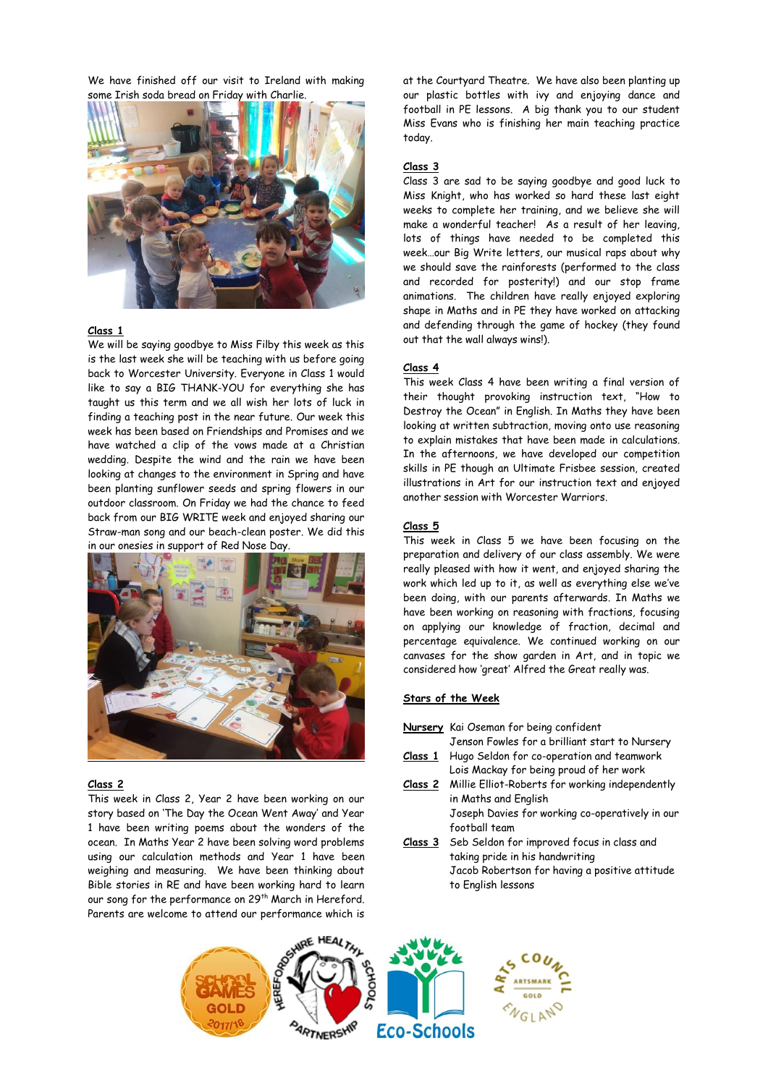We have finished off our visit to Ireland with making some Irish soda bread on Friday with Charlie.



### **Class 1**

We will be saying goodbye to Miss Filby this week as this is the last week she will be teaching with us before going back to Worcester University. Everyone in Class 1 would like to say a BIG THANK-YOU for everything she has taught us this term and we all wish her lots of luck in finding a teaching post in the near future. Our week this week has been based on Friendships and Promises and we have watched a clip of the vows made at a Christian wedding. Despite the wind and the rain we have been looking at changes to the environment in Spring and have been planting sunflower seeds and spring flowers in our outdoor classroom. On Friday we had the chance to feed back from our BIG WRITE week and enjoyed sharing our Straw-man song and our beach-clean poster. We did this in our onesies in support of Red Nose Day.



#### **Class 2**

This week in Class 2, Year 2 have been working on our story based on 'The Day the Ocean Went Away' and Year 1 have been writing poems about the wonders of the ocean. In Maths Year 2 have been solving word problems using our calculation methods and Year 1 have been weighing and measuring. We have been thinking about Bible stories in RE and have been working hard to learn our song for the performance on 29<sup>th</sup> March in Hereford. Parents are welcome to attend our performance which is

at the Courtyard Theatre. We have also been planting up our plastic bottles with ivy and enjoying dance and football in PE lessons. A big thank you to our student Miss Evans who is finishing her main teaching practice today.

#### **Class 3**

Class 3 are sad to be saying goodbye and good luck to Miss Knight, who has worked so hard these last eight weeks to complete her training, and we believe she will make a wonderful teacher! As a result of her leaving, lots of things have needed to be completed this week…our Big Write letters, our musical raps about why we should save the rainforests (performed to the class and recorded for posterity!) and our stop frame animations. The children have really enjoyed exploring shape in Maths and in PE they have worked on attacking and defending through the game of hockey (they found out that the wall always wins!).

#### **Class 4**

This week Class 4 have been writing a final version of their thought provoking instruction text, "How to Destroy the Ocean" in English. In Maths they have been looking at written subtraction, moving onto use reasoning to explain mistakes that have been made in calculations. In the afternoons, we have developed our competition skills in PE though an Ultimate Frisbee session, created illustrations in Art for our instruction text and enjoyed another session with Worcester Warriors.

#### **Class 5**

This week in Class 5 we have been focusing on the preparation and delivery of our class assembly. We were really pleased with how it went, and enjoyed sharing the work which led up to it, as well as everything else we've been doing, with our parents afterwards. In Maths we have been working on reasoning with fractions, focusing on applying our knowledge of fraction, decimal and percentage equivalence. We continued working on our canvases for the show garden in Art, and in topic we considered how 'great' Alfred the Great really was.

#### **Stars of the Week**

- **Nursery** Kai Oseman for being confident
- Jenson Fowles for a brilliant start to Nursery **Class 1** Hugo Seldon for co-operation and teamwork
- Lois Mackay for being proud of her work **Class 2** Millie Elliot-Roberts for working independently in Maths and English

Joseph Davies for working co-operatively in our football team

**Class 3** Seb Seldon for improved focus in class and taking pride in his handwriting Jacob Robertson for having a positive attitude to English lessons